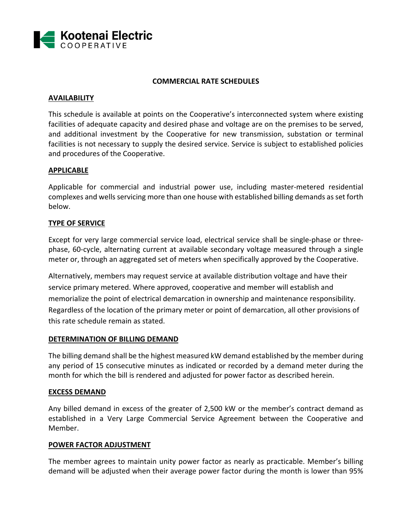

#### **COMMERCIAL RATE SCHEDULES**

#### **AVAILABILITY**

This schedule is available at points on the Cooperative's interconnected system where existing facilities of adequate capacity and desired phase and voltage are on the premises to be served, and additional investment by the Cooperative for new transmission, substation or terminal facilities is not necessary to supply the desired service. Service is subject to established policies and procedures of the Cooperative.

#### **APPLICABLE**

Applicable for commercial and industrial power use, including master‐metered residential complexes and wells servicing more than one house with established billing demands asset forth below.

## **TYPE OF SERVICE**

Except for very large commercial service load, electrical service shall be single‐phase or three‐ phase, 60‐cycle, alternating current at available secondary voltage measured through a single meter or, through an aggregated set of meters when specifically approved by the Cooperative.

Alternatively, members may request service at available distribution voltage and have their service primary metered. Where approved, cooperative and member will establish and memorialize the point of electrical demarcation in ownership and maintenance responsibility. Regardless of the location of the primary meter or point of demarcation, all other provisions of this rate schedule remain as stated.

#### **DETERMINATION OF BILLING DEMAND**

The billing demand shall be the highest measured kW demand established by the member during any period of 15 consecutive minutes as indicated or recorded by a demand meter during the month for which the bill is rendered and adjusted for power factor as described herein.

#### **EXCESS DEMAND**

Any billed demand in excess of the greater of 2,500 kW or the member's contract demand as established in a Very Large Commercial Service Agreement between the Cooperative and Member.

#### **POWER FACTOR ADJUSTMENT**

The member agrees to maintain unity power factor as nearly as practicable. Member's billing demand will be adjusted when their average power factor during the month is lower than 95%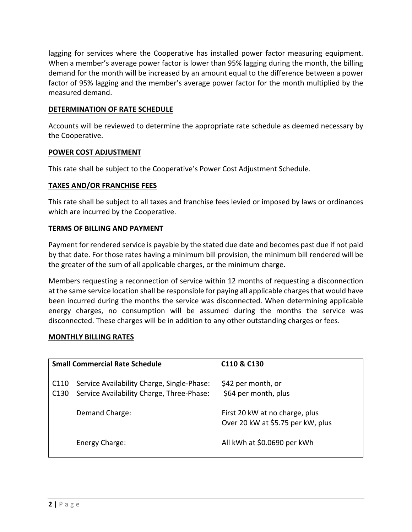lagging for services where the Cooperative has installed power factor measuring equipment. When a member's average power factor is lower than 95% lagging during the month, the billing demand for the month will be increased by an amount equal to the difference between a power factor of 95% lagging and the member's average power factor for the month multiplied by the measured demand.

## **DETERMINATION OF RATE SCHEDULE**

Accounts will be reviewed to determine the appropriate rate schedule as deemed necessary by the Cooperative.

## **POWER COST ADJUSTMENT**

This rate shall be subject to the Cooperative's Power Cost Adjustment Schedule.

## **TAXES AND/OR FRANCHISE FEES**

This rate shall be subject to all taxes and franchise fees levied or imposed by laws or ordinances which are incurred by the Cooperative.

## **TERMS OF BILLING AND PAYMENT**

Payment for rendered service is payable by the stated due date and becomes past due if not paid by that date. For those rates having a minimum bill provision, the minimum bill rendered will be the greater of the sum of all applicable charges, or the minimum charge.

Members requesting a reconnection of service within 12 months of requesting a disconnection at the same service location shall be responsible for paying all applicable charges that would have been incurred during the months the service was disconnected. When determining applicable energy charges, no consumption will be assumed during the months the service was disconnected. These charges will be in addition to any other outstanding charges or fees.

## **MONTHLY BILLING RATES**

| <b>Small Commercial Rate Schedule</b> |                                                                                         | C <sub>110</sub> & C <sub>130</sub>                                 |
|---------------------------------------|-----------------------------------------------------------------------------------------|---------------------------------------------------------------------|
| C <sub>110</sub><br>C <sub>130</sub>  | Service Availability Charge, Single-Phase:<br>Service Availability Charge, Three-Phase: | \$42 per month, or<br>\$64 per month, plus                          |
|                                       | Demand Charge:                                                                          | First 20 kW at no charge, plus<br>Over 20 kW at \$5.75 per kW, plus |
|                                       | Energy Charge:                                                                          | All kWh at \$0.0690 per kWh                                         |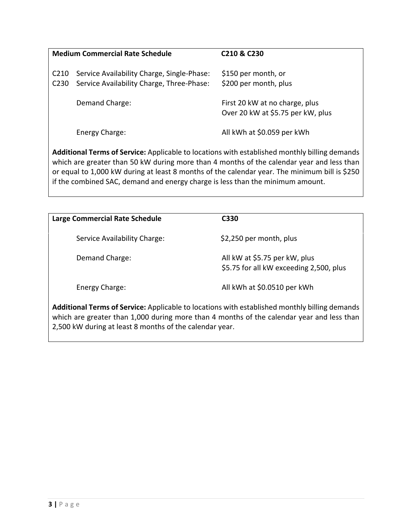| <b>Medium Commercial Rate Schedule</b> |                                                                                         | C210 & C230                                                         |
|----------------------------------------|-----------------------------------------------------------------------------------------|---------------------------------------------------------------------|
| C <sub>210</sub><br>C <sub>230</sub>   | Service Availability Charge, Single-Phase:<br>Service Availability Charge, Three-Phase: | \$150 per month, or<br>\$200 per month, plus                        |
|                                        | Demand Charge:                                                                          | First 20 kW at no charge, plus<br>Over 20 kW at \$5.75 per kW, plus |
|                                        | Energy Charge:                                                                          | All kWh at \$0.059 per kWh                                          |

**Additional Terms of Service:** Applicable to locations with established monthly billing demands which are greater than 50 kW during more than 4 months of the calendar year and less than or equal to 1,000 kW during at least 8 months of the calendar year. The minimum bill is \$250 if the combined SAC, demand and energy charge is less than the minimum amount.

| <b>Large Commercial Rate Schedule</b> | C330                                                                     |
|---------------------------------------|--------------------------------------------------------------------------|
| Service Availability Charge:          | \$2,250 per month, plus                                                  |
| Demand Charge:                        | All kW at \$5.75 per kW, plus<br>\$5.75 for all kW exceeding 2,500, plus |
| Energy Charge:                        | All kWh at \$0.0510 per kWh                                              |

**Additional Terms of Service:** Applicable to locations with established monthly billing demands which are greater than 1,000 during more than 4 months of the calendar year and less than 2,500 kW during at least 8 months of the calendar year.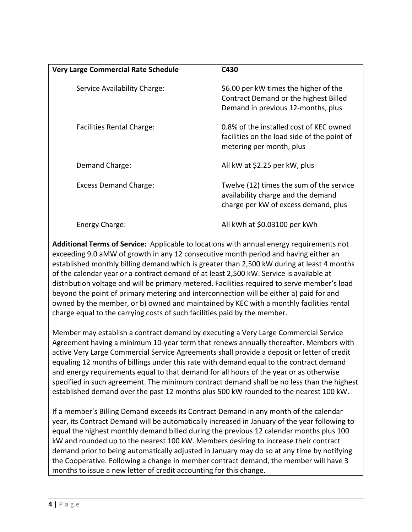| <b>Very Large Commercial Rate Schedule</b> | C430                                                                                                                   |
|--------------------------------------------|------------------------------------------------------------------------------------------------------------------------|
| Service Availability Charge:               | \$6.00 per kW times the higher of the<br>Contract Demand or the highest Billed<br>Demand in previous 12-months, plus   |
| <b>Facilities Rental Charge:</b>           | 0.8% of the installed cost of KEC owned<br>facilities on the load side of the point of<br>metering per month, plus     |
| Demand Charge:                             | All kW at \$2.25 per kW, plus                                                                                          |
| <b>Excess Demand Charge:</b>               | Twelve (12) times the sum of the service<br>availability charge and the demand<br>charge per kW of excess demand, plus |
| Energy Charge:                             | All kWh at \$0.03100 per kWh                                                                                           |

**Additional Terms of Service:** Applicable to locations with annual energy requirements not exceeding 9.0 aMW of growth in any 12 consecutive month period and having either an established monthly billing demand which is greater than 2,500 kW during at least 4 months of the calendar year or a contract demand of at least 2,500 kW. Service is available at distribution voltage and will be primary metered. Facilities required to serve member's load beyond the point of primary metering and interconnection will be either a) paid for and owned by the member, or b) owned and maintained by KEC with a monthly facilities rental charge equal to the carrying costs of such facilities paid by the member.

Member may establish a contract demand by executing a Very Large Commercial Service Agreement having a minimum 10‐year term that renews annually thereafter. Members with active Very Large Commercial Service Agreements shall provide a deposit or letter of credit equaling 12 months of billings under this rate with demand equal to the contract demand and energy requirements equal to that demand for all hours of the year or as otherwise specified in such agreement. The minimum contract demand shall be no less than the highest established demand over the past 12 months plus 500 kW rounded to the nearest 100 kW.

If a member's Billing Demand exceeds its Contract Demand in any month of the calendar year, its Contract Demand will be automatically increased in January of the year following to equal the highest monthly demand billed during the previous 12 calendar months plus 100 kW and rounded up to the nearest 100 kW. Members desiring to increase their contract demand prior to being automatically adjusted in January may do so at any time by notifying the Cooperative. Following a change in member contract demand, the member will have 3 months to issue a new letter of credit accounting for this change.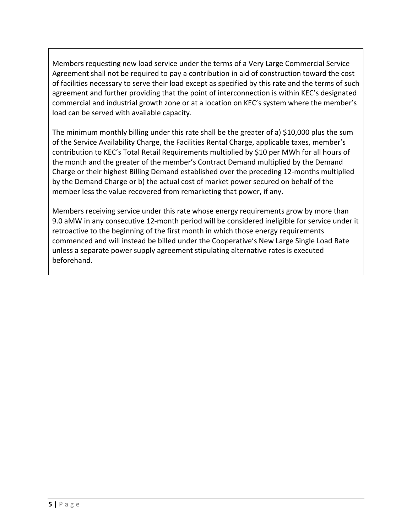Members requesting new load service under the terms of a Very Large Commercial Service Agreement shall not be required to pay a contribution in aid of construction toward the cost of facilities necessary to serve their load except as specified by this rate and the terms of such agreement and further providing that the point of interconnection is within KEC's designated commercial and industrial growth zone or at a location on KEC's system where the member's load can be served with available capacity.

The minimum monthly billing under this rate shall be the greater of a) \$10,000 plus the sum of the Service Availability Charge, the Facilities Rental Charge, applicable taxes, member's contribution to KEC's Total Retail Requirements multiplied by \$10 per MWh for all hours of the month and the greater of the member's Contract Demand multiplied by the Demand Charge or their highest Billing Demand established over the preceding 12‐months multiplied by the Demand Charge or b) the actual cost of market power secured on behalf of the member less the value recovered from remarketing that power, if any.

Members receiving service under this rate whose energy requirements grow by more than 9.0 aMW in any consecutive 12-month period will be considered ineligible for service under it retroactive to the beginning of the first month in which those energy requirements commenced and will instead be billed under the Cooperative's New Large Single Load Rate unless a separate power supply agreement stipulating alternative rates is executed beforehand.